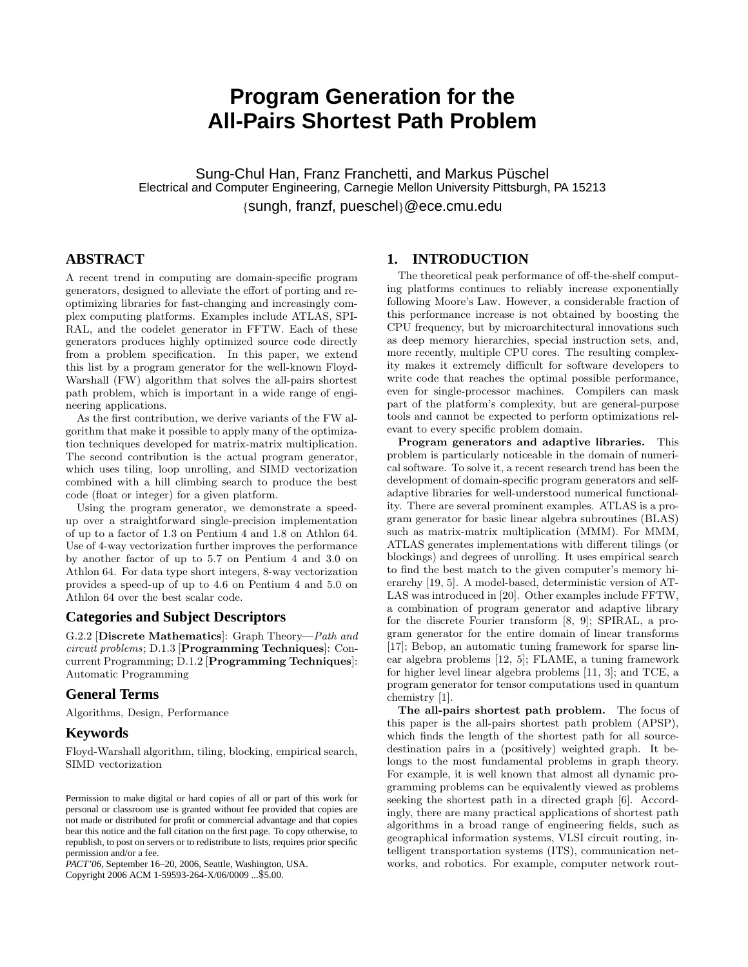# **Program Generation for the All-Pairs Shortest Path Problem**

Sung-Chul Han, Franz Franchetti, and Markus Püschel Electrical and Computer Engineering, Carnegie Mellon University Pittsburgh, PA 15213 {sungh, franzf, pueschel}@ece.cmu.edu

# **ABSTRACT**

A recent trend in computing are domain-specific program generators, designed to alleviate the effort of porting and reoptimizing libraries for fast-changing and increasingly complex computing platforms. Examples include ATLAS, SPI-RAL, and the codelet generator in FFTW. Each of these generators produces highly optimized source code directly from a problem specification. In this paper, we extend this list by a program generator for the well-known Floyd-Warshall (FW) algorithm that solves the all-pairs shortest path problem, which is important in a wide range of engineering applications.

As the first contribution, we derive variants of the FW algorithm that make it possible to apply many of the optimization techniques developed for matrix-matrix multiplication. The second contribution is the actual program generator, which uses tiling, loop unrolling, and SIMD vectorization combined with a hill climbing search to produce the best code (float or integer) for a given platform.

Using the program generator, we demonstrate a speedup over a straightforward single-precision implementation of up to a factor of 1.3 on Pentium 4 and 1.8 on Athlon 64. Use of 4-way vectorization further improves the performance by another factor of up to 5.7 on Pentium 4 and 3.0 on Athlon 64. For data type short integers, 8-way vectorization provides a speed-up of up to 4.6 on Pentium 4 and 5.0 on Athlon 64 over the best scalar code.

#### **Categories and Subject Descriptors**

G.2.2 [Discrete Mathematics]: Graph Theory—Path and circuit problems; D.1.3 [Programming Techniques]: Concurrent Programming; D.1.2 [Programming Techniques]: Automatic Programming

# **General Terms**

Algorithms, Design, Performance

# **Keywords**

Floyd-Warshall algorithm, tiling, blocking, empirical search, SIMD vectorization

*PACT'06,* September 16–20, 2006, Seattle, Washington, USA. Copyright 2006 ACM 1-59593-264-X/06/0009 ...\$5.00.

# **1. INTRODUCTION**

The theoretical peak performance of off-the-shelf computing platforms continues to reliably increase exponentially following Moore's Law. However, a considerable fraction of this performance increase is not obtained by boosting the CPU frequency, but by microarchitectural innovations such as deep memory hierarchies, special instruction sets, and, more recently, multiple CPU cores. The resulting complexity makes it extremely difficult for software developers to write code that reaches the optimal possible performance, even for single-processor machines. Compilers can mask part of the platform's complexity, but are general-purpose tools and cannot be expected to perform optimizations relevant to every specific problem domain.

Program generators and adaptive libraries. This problem is particularly noticeable in the domain of numerical software. To solve it, a recent research trend has been the development of domain-specific program generators and selfadaptive libraries for well-understood numerical functionality. There are several prominent examples. ATLAS is a program generator for basic linear algebra subroutines (BLAS) such as matrix-matrix multiplication (MMM). For MMM, ATLAS generates implementations with different tilings (or blockings) and degrees of unrolling. It uses empirical search to find the best match to the given computer's memory hierarchy [19, 5]. A model-based, deterministic version of AT-LAS was introduced in [20]. Other examples include FFTW, a combination of program generator and adaptive library for the discrete Fourier transform [8, 9]; SPIRAL, a program generator for the entire domain of linear transforms [17]; Bebop, an automatic tuning framework for sparse linear algebra problems [12, 5]; FLAME, a tuning framework for higher level linear algebra problems [11, 3]; and TCE, a program generator for tensor computations used in quantum chemistry [1].

The all-pairs shortest path problem. The focus of this paper is the all-pairs shortest path problem (APSP), which finds the length of the shortest path for all sourcedestination pairs in a (positively) weighted graph. It belongs to the most fundamental problems in graph theory. For example, it is well known that almost all dynamic programming problems can be equivalently viewed as problems seeking the shortest path in a directed graph [6]. Accordingly, there are many practical applications of shortest path algorithms in a broad range of engineering fields, such as geographical information systems, VLSI circuit routing, intelligent transportation systems (ITS), communication networks, and robotics. For example, computer network rout-

Permission to make digital or hard copies of all or part of this work for personal or classroom use is granted without fee provided that copies are not made or distributed for profit or commercial advantage and that copies bear this notice and the full citation on the first page. To copy otherwise, to republish, to post on servers or to redistribute to lists, requires prior specific permission and/or a fee.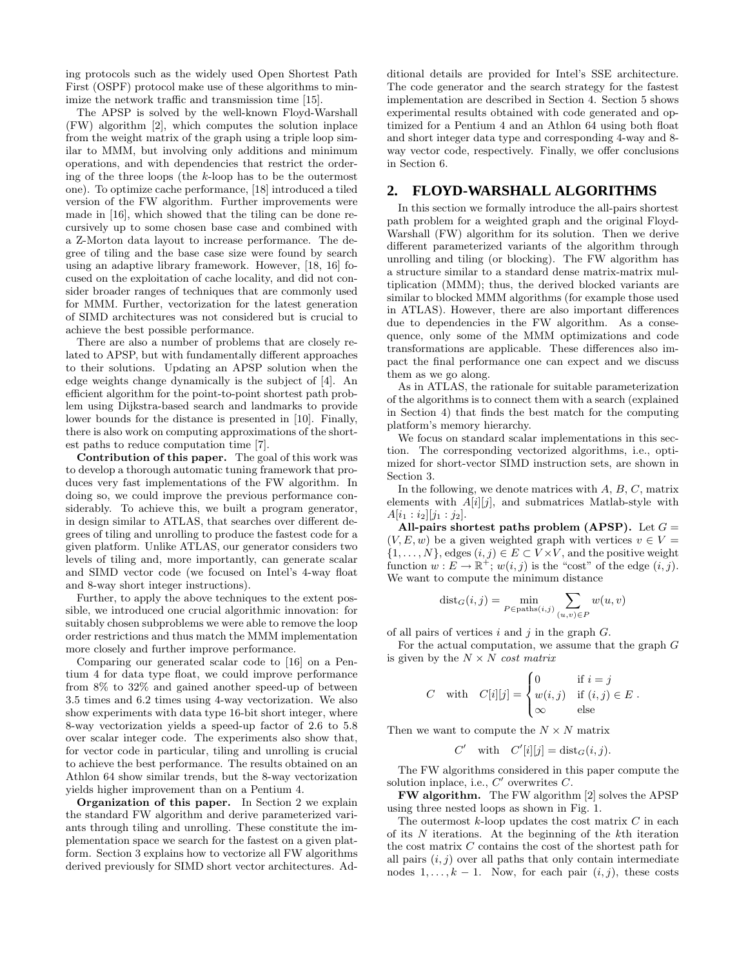ing protocols such as the widely used Open Shortest Path First (OSPF) protocol make use of these algorithms to minimize the network traffic and transmission time [15].

The APSP is solved by the well-known Floyd-Warshall (FW) algorithm [2], which computes the solution inplace from the weight matrix of the graph using a triple loop similar to MMM, but involving only additions and minimum operations, and with dependencies that restrict the ordering of the three loops (the k-loop has to be the outermost one). To optimize cache performance, [18] introduced a tiled version of the FW algorithm. Further improvements were made in [16], which showed that the tiling can be done recursively up to some chosen base case and combined with a Z-Morton data layout to increase performance. The degree of tiling and the base case size were found by search using an adaptive library framework. However, [18, 16] focused on the exploitation of cache locality, and did not consider broader ranges of techniques that are commonly used for MMM. Further, vectorization for the latest generation of SIMD architectures was not considered but is crucial to achieve the best possible performance.

There are also a number of problems that are closely related to APSP, but with fundamentally different approaches to their solutions. Updating an APSP solution when the edge weights change dynamically is the subject of [4]. An efficient algorithm for the point-to-point shortest path problem using Dijkstra-based search and landmarks to provide lower bounds for the distance is presented in [10]. Finally, there is also work on computing approximations of the shortest paths to reduce computation time [7].

Contribution of this paper. The goal of this work was to develop a thorough automatic tuning framework that produces very fast implementations of the FW algorithm. In doing so, we could improve the previous performance considerably. To achieve this, we built a program generator, in design similar to ATLAS, that searches over different degrees of tiling and unrolling to produce the fastest code for a given platform. Unlike ATLAS, our generator considers two levels of tiling and, more importantly, can generate scalar and SIMD vector code (we focused on Intel's 4-way float and 8-way short integer instructions).

Further, to apply the above techniques to the extent possible, we introduced one crucial algorithmic innovation: for suitably chosen subproblems we were able to remove the loop order restrictions and thus match the MMM implementation more closely and further improve performance.

Comparing our generated scalar code to [16] on a Pentium 4 for data type float, we could improve performance from 8% to 32% and gained another speed-up of between 3.5 times and 6.2 times using 4-way vectorization. We also show experiments with data type 16-bit short integer, where 8-way vectorization yields a speed-up factor of 2.6 to 5.8 over scalar integer code. The experiments also show that, for vector code in particular, tiling and unrolling is crucial to achieve the best performance. The results obtained on an Athlon 64 show similar trends, but the 8-way vectorization yields higher improvement than on a Pentium 4.

Organization of this paper. In Section 2 we explain the standard FW algorithm and derive parameterized variants through tiling and unrolling. These constitute the implementation space we search for the fastest on a given platform. Section 3 explains how to vectorize all FW algorithms derived previously for SIMD short vector architectures. Additional details are provided for Intel's SSE architecture. The code generator and the search strategy for the fastest implementation are described in Section 4. Section 5 shows experimental results obtained with code generated and optimized for a Pentium 4 and an Athlon 64 using both float and short integer data type and corresponding 4-way and 8 way vector code, respectively. Finally, we offer conclusions in Section 6.

## **2. FLOYD-WARSHALL ALGORITHMS**

In this section we formally introduce the all-pairs shortest path problem for a weighted graph and the original Floyd-Warshall (FW) algorithm for its solution. Then we derive different parameterized variants of the algorithm through unrolling and tiling (or blocking). The FW algorithm has a structure similar to a standard dense matrix-matrix multiplication (MMM); thus, the derived blocked variants are similar to blocked MMM algorithms (for example those used in ATLAS). However, there are also important differences due to dependencies in the FW algorithm. As a consequence, only some of the MMM optimizations and code transformations are applicable. These differences also impact the final performance one can expect and we discuss them as we go along.

As in ATLAS, the rationale for suitable parameterization of the algorithms is to connect them with a search (explained in Section 4) that finds the best match for the computing platform's memory hierarchy.

We focus on standard scalar implementations in this section. The corresponding vectorized algorithms, i.e., optimized for short-vector SIMD instruction sets, are shown in Section 3.

In the following, we denote matrices with  $A, B, C$ , matrix elements with  $A[i][j]$ , and submatrices Matlab-style with  $A[i_1 : i_2][j_1 : j_2].$ 

All-pairs shortest paths problem (APSP). Let  $G =$  $(V, E, w)$  be a given weighted graph with vertices  $v \in V =$  $\{1, \ldots, N\}$ , edges  $(i, j) \in E \subset V \times V$ , and the positive weight function  $w: E \to \mathbb{R}^+$ ;  $w(i, j)$  is the "cost" of the edge  $(i, j)$ . We want to compute the minimum distance

$$
dist_G(i,j) = \min_{P \in paths(i,j)} \sum_{(u,v) \in P} w(u,v)
$$

of all pairs of vertices  $i$  and  $j$  in the graph  $G$ .

For the actual computation, we assume that the graph  $G$ is given by the  $N \times N$  cost matrix

$$
C \quad \text{with} \quad C[i][j] = \begin{cases} 0 & \text{if } i = j \\ w(i,j) & \text{if } (i,j) \in E \\ \infty & \text{else} \end{cases}.
$$

Then we want to compute the  $N \times N$  matrix

$$
C' \quad \text{with} \quad C'[i][j] = \text{dist}_G(i,j).
$$

The FW algorithms considered in this paper compute the solution inplace, i.e.,  $C'$  overwrites  $C$ .

FW algorithm. The FW algorithm [2] solves the APSP using three nested loops as shown in Fig. 1.

The outermost  $k$ -loop updates the cost matrix  $C$  in each of its N iterations. At the beginning of the kth iteration the cost matrix C contains the cost of the shortest path for all pairs  $(i, j)$  over all paths that only contain intermediate nodes  $1, \ldots, k - 1$ . Now, for each pair  $(i, j)$ , these costs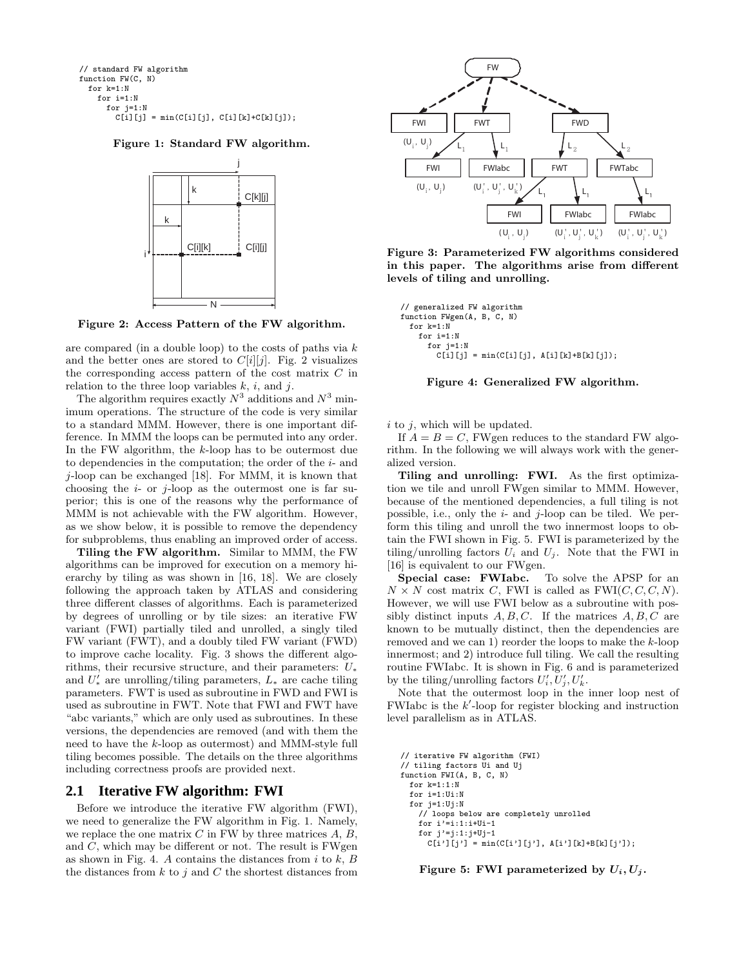```
// standard FW algorithm
function FW(C, N)
 for k=1:N
   for i=1:N
     for j=1:N
        C[i][j] = min(C[i][j], C[i][k]+C[k][j]);
```
Figure 1: Standard FW algorithm.



Figure 2: Access Pattern of the FW algorithm.

are compared (in a double loop) to the costs of paths via  $k$ and the better ones are stored to  $C[i][j]$ . Fig. 2 visualizes the corresponding access pattern of the cost matrix  $C$  in relation to the three loop variables  $k$ ,  $i$ , and  $j$ .

The algorithm requires exactly  $N^3$  additions and  $N^3$  minimum operations. The structure of the code is very similar to a standard MMM. However, there is one important difference. In MMM the loops can be permuted into any order. In the FW algorithm, the k-loop has to be outermost due to dependencies in the computation; the order of the  $i$ - and j-loop can be exchanged [18]. For MMM, it is known that choosing the  $i$ - or  $j$ -loop as the outermost one is far superior; this is one of the reasons why the performance of MMM is not achievable with the FW algorithm. However, as we show below, it is possible to remove the dependency for subproblems, thus enabling an improved order of access.

Tiling the FW algorithm. Similar to MMM, the FW algorithms can be improved for execution on a memory hierarchy by tiling as was shown in [16, 18]. We are closely following the approach taken by ATLAS and considering three different classes of algorithms. Each is parameterized by degrees of unrolling or by tile sizes: an iterative FW variant (FWI) partially tiled and unrolled, a singly tiled FW variant (FWT), and a doubly tiled FW variant (FWD) to improve cache locality. Fig. 3 shows the different algorithms, their recursive structure, and their parameters:  $U_*$ and  $U'_{*}$  are unrolling/tiling parameters,  $L_{*}$  are cache tiling parameters. FWT is used as subroutine in FWD and FWI is used as subroutine in FWT. Note that FWI and FWT have "abc variants," which are only used as subroutines. In these versions, the dependencies are removed (and with them the need to have the k-loop as outermost) and MMM-style full tiling becomes possible. The details on the three algorithms including correctness proofs are provided next.

#### **2.1 Iterative FW algorithm: FWI**

Before we introduce the iterative FW algorithm (FWI), we need to generalize the FW algorithm in Fig. 1. Namely, we replace the one matrix  $C$  in FW by three matrices  $A, B$ , and  $C$ , which may be different or not. The result is FWgen as shown in Fig. 4. A contains the distances from  $i$  to  $k$ ,  $B$ the distances from  $k$  to  $j$  and  $C$  the shortest distances from



Figure 3: Parameterized FW algorithms considered in this paper. The algorithms arise from different levels of tiling and unrolling.

```
// generalized FW algorithm
function FWgen(A, B, C, N)
  for k=1:N
    for i=1:N
     for i=1:NC[i][j] = min(C[i][j], A[i][k]+B[k][j]),
```


 $i$  to  $j$ , which will be updated.

If  $A = B = C$ , FWgen reduces to the standard FW algorithm. In the following we will always work with the generalized version.

Tiling and unrolling: FWI. As the first optimization we tile and unroll FWgen similar to MMM. However, because of the mentioned dependencies, a full tiling is not possible, i.e., only the  $i$ - and  $j$ -loop can be tiled. We perform this tiling and unroll the two innermost loops to obtain the FWI shown in Fig. 5. FWI is parameterized by the tiling/unrolling factors  $U_i$  and  $U_j$ . Note that the FWI in [16] is equivalent to our FWgen.<br>Special case: FWIabc.

To solve the APSP for an  $N \times N$  cost matrix C, FWI is called as FWI(C, C, C, N). However, we will use FWI below as a subroutine with possibly distinct inputs  $A, B, C$ . If the matrices  $A, B, C$  are known to be mutually distinct, then the dependencies are removed and we can 1) reorder the loops to make the  $k$ -loop innermost; and 2) introduce full tiling. We call the resulting routine FWIabc. It is shown in Fig. 6 and is parameterized by the tiling/unrolling factors  $U'_i, U'_j, U'_k$ .

Note that the outermost loop in the inner loop nest of FWIabc is the  $k'$ -loop for register blocking and instruction level parallelism as in ATLAS.

```
// iterative FW algorithm (FWI)
// tiling factors Ui and Uj
function FWI(A, B, C, N)
  for k=1:1:N
  for i=1:Ui:N
  for i=1:Ui:N// loops below are completely unrolled
    for i' = i:1:i+Ui-1for j' = j:1:j+Uj-1C[i'] [j'] = min(C[i'] [j'], A[i'] [k] + B[k] [j']);
```
Figure 5: FWI parameterized by  $U_i, U_j$ .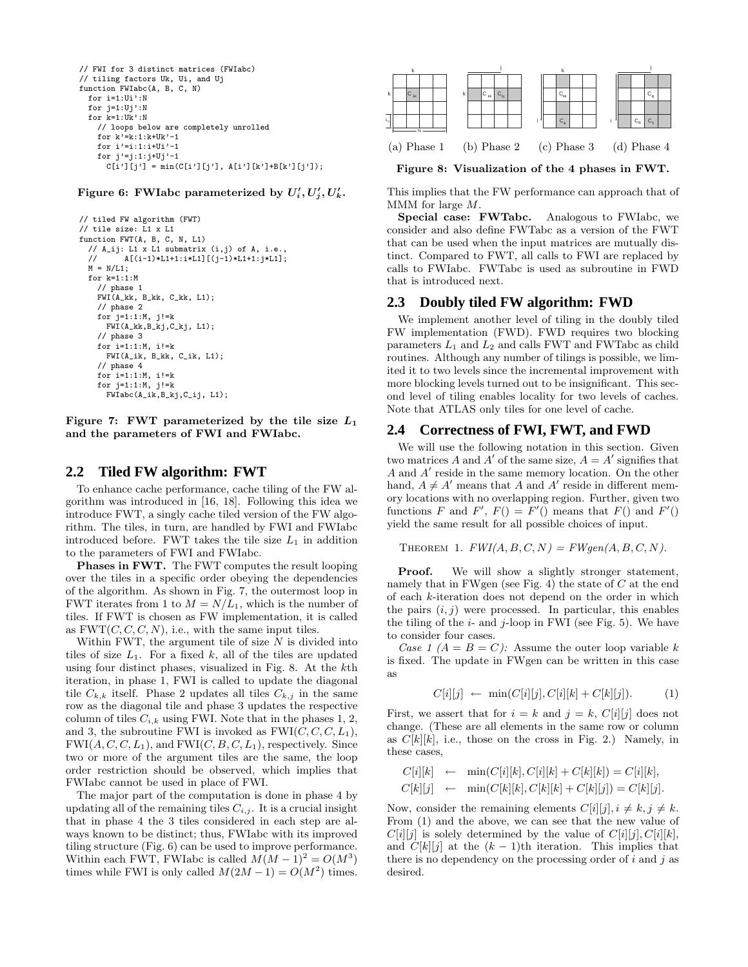```
// FWI for 3 distinct matrices (FWIabc)
// tiling factors Uk, Ui, and Uj
function FWIabc(A, B, C, N)
 for i=1:Ui':N
 for j=1:Uj':Nfor k=1:Uk':N
   // loops below are completely unrolled
   for k'=k:1:k+Uk'-1
   for i' = i:1:i+Ui' - 1for j'=j:1:j+Uj'-1
      C[i'][j'] = min(C[i'][j'], A[i'][k'] + B[k'][j']);
```
Figure 6: FWIabc parameterized by  $U'_i, U'_j, U'_k$ .

```
// tiled FW algorithm (FWT)
// tile size: L1 x L1
function FWT(A, B, C, N, L1)
  // A_ij: L1 x L1 submatrix (i,j) of A, i.e.,
  // A[(i-1)*L1+1:i*L1][(j-1)*L1+1:j*L1];
 M = N/L1;
 for k=1:1:M
   // phase 1
   FWI(A_kk, B_kk, C_kk, L1);
   // phase 2
   for j=1:1:M, j!=kFWI(A_kk,B_kj,C_kj, L1);
    // phase 3
   for i=1:1:M, i!=k
     FWI(A_ik, B_kk, C_ik, L1);
    // phase 4
   for i=1:1:M, i!=k
   for j=1:1:M, j!=k
     FWIabc(A_ik,B_kj,C_ij, L1);
```
Figure 7: FWT parameterized by the tile size  $L_1$ and the parameters of FWI and FWIabc.

#### **2.2 Tiled FW algorithm: FWT**

To enhance cache performance, cache tiling of the FW algorithm was introduced in [16, 18]. Following this idea we introduce FWT, a singly cache tiled version of the FW algorithm. The tiles, in turn, are handled by FWI and FWIabc introduced before. FWT takes the tile size  $L_1$  in addition to the parameters of FWI and FWIabc.

Phases in FWT. The FWT computes the result looping over the tiles in a specific order obeying the dependencies of the algorithm. As shown in Fig. 7, the outermost loop in FWT iterates from 1 to  $M = N/L_1$ , which is the number of tiles. If FWT is chosen as FW implementation, it is called as  $FWT(C, C, C, N)$ , i.e., with the same input tiles.

Within FWT, the argument tile of size  $N$  is divided into tiles of size  $L_1$ . For a fixed k, all of the tiles are updated using four distinct phases, visualized in Fig. 8. At the kth iteration, in phase 1, FWI is called to update the diagonal tile  $C_{k,k}$  itself. Phase 2 updates all tiles  $C_{k,j}$  in the same row as the diagonal tile and phase 3 updates the respective column of tiles  $C_{i,k}$  using FWI. Note that in the phases 1, 2, and 3, the subroutine FWI is invoked as  $FWI(C, C, C, L_1)$ ,  $FWI(A, C, C, L_1)$ , and  $FWI(C, B, C, L_1)$ , respectively. Since two or more of the argument tiles are the same, the loop order restriction should be observed, which implies that FWIabc cannot be used in place of FWI.

The major part of the computation is done in phase 4 by updating all of the remaining tiles  $C_{i,j}$ . It is a crucial insight that in phase 4 the 3 tiles considered in each step are always known to be distinct; thus, FWIabc with its improved tiling structure (Fig. 6) can be used to improve performance. Within each FWT, FWIabc is called  $M(M-1)^2 = O(M^3)$ times while FWI is only called  $M(2M-1) = O(M^2)$  times.



Figure 8: Visualization of the 4 phases in FWT.

This implies that the FW performance can approach that of MMM for large M.

Special case: FWTabc. Analogous to FWIabc, we consider and also define FWTabc as a version of the FWT that can be used when the input matrices are mutually distinct. Compared to FWT, all calls to FWI are replaced by calls to FWIabc. FWTabc is used as subroutine in FWD that is introduced next.

# **2.3 Doubly tiled FW algorithm: FWD**

We implement another level of tiling in the doubly tiled FW implementation (FWD). FWD requires two blocking parameters  $L_1$  and  $L_2$  and calls FWT and FWTabc as child routines. Although any number of tilings is possible, we limited it to two levels since the incremental improvement with more blocking levels turned out to be insignificant. This second level of tiling enables locality for two levels of caches. Note that ATLAS only tiles for one level of cache.

#### **2.4 Correctness of FWI, FWT, and FWD**

We will use the following notation in this section. Given two matrices A and A' of the same size,  $A = A'$  signifies that A and A ′ reside in the same memory location. On the other hand,  $A \neq A'$  means that A and A' reside in different memory locations with no overlapping region. Further, given two functions F and F',  $F() = F'($  means that  $F()$  and  $F'($ yield the same result for all possible choices of input.

THEOREM 1.  $FWI(A, B, C, N) = FWgen(A, B, C, N).$ 

Proof. We will show a slightly stronger statement, namely that in FWgen (see Fig. 4) the state of  $C$  at the end of each k-iteration does not depend on the order in which the pairs  $(i, j)$  were processed. In particular, this enables the tiling of the  $i$ - and  $j$ -loop in FWI (see Fig. 5). We have to consider four cases.

Case 1  $(A = B = C)$ : Assume the outer loop variable k is fixed. The update in FWgen can be written in this case as

$$
C[i][j] \leftarrow \min(C[i][j], C[i][k] + C[k][j]). \tag{1}
$$

First, we assert that for  $i = k$  and  $j = k$ ,  $C[i][j]$  does not change. (These are all elements in the same row or column as  $C[k][k]$ , i.e., those on the cross in Fig. 2.) Namely, in these cases,

$$
C[i][k] \leftarrow \min(C[i][k], C[i][k] + C[k][k]) = C[i][k],
$$
  

$$
C[k][j] \leftarrow \min(C[k][k], C[k][k] + C[k][j]) = C[k][j].
$$

Now, consider the remaining elements  $C[i][j], i \neq k, j \neq k$ . From (1) and the above, we can see that the new value of  $C[i][j]$  is solely determined by the value of  $C[i][j], C[i][k],$ and  $C[k][j]$  at the  $(k-1)$ th iteration. This implies that there is no dependency on the processing order of  $i$  and  $j$  as desired.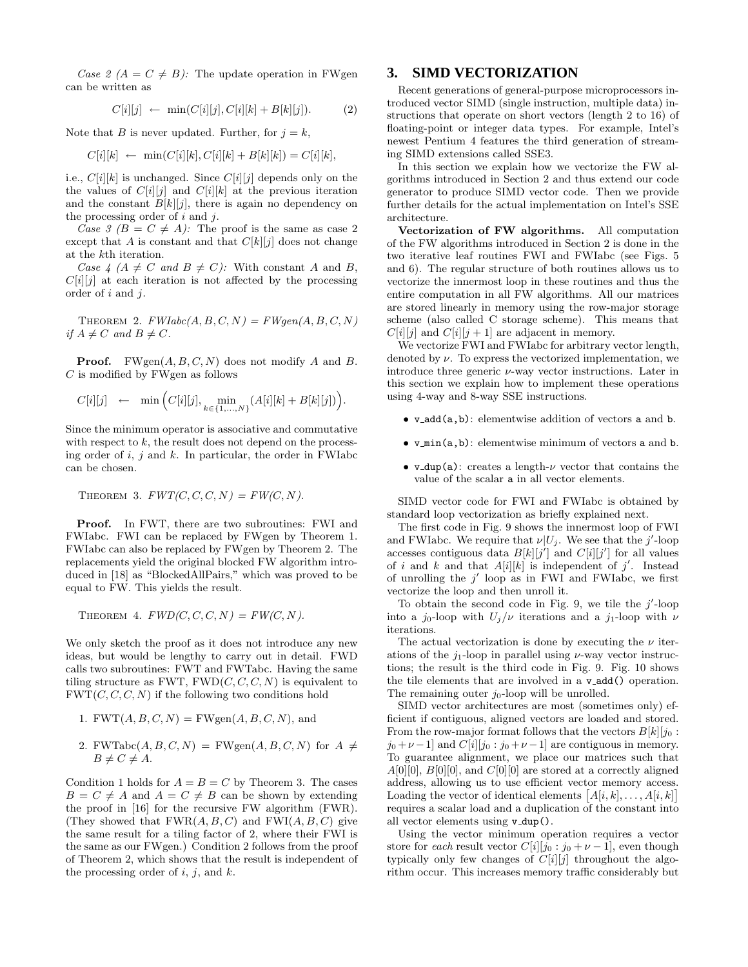Case 2 ( $A = C \neq B$ ): The update operation in FWgen can be written as

$$
C[i][j] \leftarrow \min(C[i][j], C[i][k] + B[k][j]). \tag{2}
$$

Note that B is never updated. Further, for  $j = k$ ,

$$
C[i][k] \leftarrow \min(C[i][k], C[i][k] + B[k][k]) = C[i][k],
$$

i.e.,  $C[i][k]$  is unchanged. Since  $C[i][j]$  depends only on the the values of  $C[i][j]$  and  $C[i][k]$  at the previous iteration and the constant  $B[k][j]$ , there is again no dependency on the processing order of  $i$  and  $j$ .

Case 3 ( $B = C \neq A$ ): The proof is the same as case 2 except that A is constant and that  $C[k][j]$  does not change at the kth iteration.

Case 4 ( $A \neq C$  and  $B \neq C$ ): With constant A and B,  $C[i][j]$  at each iteration is not affected by the processing order of i and j.

THEOREM 2.  $FWIabc(A, B, C, N) = FWgen(A, B, C, N)$ if  $A \neq C$  and  $B \neq C$ .

**Proof.** FWgen $(A, B, C, N)$  does not modify A and B.  $C$  is modified by FWgen as follows

$$
C[i][j] \leftarrow \min \Big( C[i][j], \min_{k \in \{1, ..., N\}} (A[i][k] + B[k][j]) \Big).
$$

Since the minimum operator is associative and commutative with respect to  $k$ , the result does not depend on the processing order of  $i, j$  and  $k$ . In particular, the order in FWIabc can be chosen.

THEOREM 3. 
$$
FWT(C, C, C, N) = FW(C, N).
$$

Proof. In FWT, there are two subroutines: FWI and FWIabc. FWI can be replaced by FWgen by Theorem 1. FWIabc can also be replaced by FWgen by Theorem 2. The replacements yield the original blocked FW algorithm introduced in [18] as "BlockedAllPairs," which was proved to be equal to FW. This yields the result.

THEOREM 4.  $FWD(C, C, C, N) = FW(C, N)$ .

We only sketch the proof as it does not introduce any new ideas, but would be lengthy to carry out in detail. FWD calls two subroutines: FWT and FWTabc. Having the same tiling structure as FWT,  $FWD(C, C, C, N)$  is equivalent to  $FWT(C, C, C, N)$  if the following two conditions hold

1. 
$$
FWT(A, B, C, N) = FWgen(A, B, C, N), and
$$

2. FWTabc $(A, B, C, N)$  = FWgen $(A, B, C, N)$  for  $A \neq$  $B \neq C \neq A$ .

Condition 1 holds for  $A = B = C$  by Theorem 3. The cases  $B = C \neq A$  and  $A = C \neq B$  can be shown by extending the proof in [16] for the recursive FW algorithm (FWR). (They showed that  $FWR(A, B, C)$  and  $FWI(A, B, C)$  give the same result for a tiling factor of 2, where their FWI is the same as our FWgen.) Condition 2 follows from the proof of Theorem 2, which shows that the result is independent of the processing order of  $i, j$ , and  $k$ .

# **3. SIMD VECTORIZATION**

Recent generations of general-purpose microprocessors introduced vector SIMD (single instruction, multiple data) instructions that operate on short vectors (length 2 to 16) of floating-point or integer data types. For example, Intel's newest Pentium 4 features the third generation of streaming SIMD extensions called SSE3.

In this section we explain how we vectorize the FW algorithms introduced in Section 2 and thus extend our code generator to produce SIMD vector code. Then we provide further details for the actual implementation on Intel's SSE architecture.

Vectorization of FW algorithms. All computation of the FW algorithms introduced in Section 2 is done in the two iterative leaf routines FWI and FWIabc (see Figs. 5 and 6). The regular structure of both routines allows us to vectorize the innermost loop in these routines and thus the entire computation in all FW algorithms. All our matrices are stored linearly in memory using the row-major storage scheme (also called C storage scheme). This means that  $C[i][j]$  and  $C[i][j + 1]$  are adjacent in memory.

We vectorize FWI and FWIabc for arbitrary vector length, denoted by  $\nu$ . To express the vectorized implementation, we introduce three generic  $\nu$ -way vector instructions. Later in this section we explain how to implement these operations using 4-way and 8-way SSE instructions.

- v add(a,b): elementwise addition of vectors a and b.
- v min(a,b): elementwise minimum of vectors a and b.
- v dup(a): creates a length- $\nu$  vector that contains the value of the scalar a in all vector elements.

SIMD vector code for FWI and FWIabc is obtained by standard loop vectorization as briefly explained next.

The first code in Fig. 9 shows the innermost loop of FWI and FWIabc. We require that  $\nu|U_j$ . We see that the j'-loop accesses contiguous data  $B[k][j']$  and  $C[i][j']$  for all values of i and k and that  $A[i][k]$  is independent of j'. Instead of unrolling the  $j'$  loop as in FWI and FWIabc, we first vectorize the loop and then unroll it.

To obtain the second code in Fig. 9, we tile the  $j'$ -loop into a  $j_0$ -loop with  $U_j/\nu$  iterations and a  $j_1$ -loop with  $\nu$ iterations.

The actual vectorization is done by executing the  $\nu$  iterations of the  $j_1$ -loop in parallel using  $\nu$ -way vector instructions; the result is the third code in Fig. 9. Fig. 10 shows the tile elements that are involved in a v add() operation. The remaining outer  $j_0$ -loop will be unrolled.

SIMD vector architectures are most (sometimes only) efficient if contiguous, aligned vectors are loaded and stored. From the row-major format follows that the vectors  $B[k][j_0:$  $j_0 + \nu - 1$  and  $C[i][j_0 : j_0 + \nu - 1]$  are contiguous in memory. To guarantee alignment, we place our matrices such that  $A[0][0], B[0][0],$  and  $C[0][0]$  are stored at a correctly aligned address, allowing us to use efficient vector memory access. Loading the vector of identical elements  $[A[i, k], \ldots, A[i, k]]$ requires a scalar load and a duplication of the constant into all vector elements using v dup().

Using the vector minimum operation requires a vector store for each result vector  $C[i][j_0 : j_0 + \nu - 1]$ , even though typically only few changes of  $C[i][j]$  throughout the algorithm occur. This increases memory traffic considerably but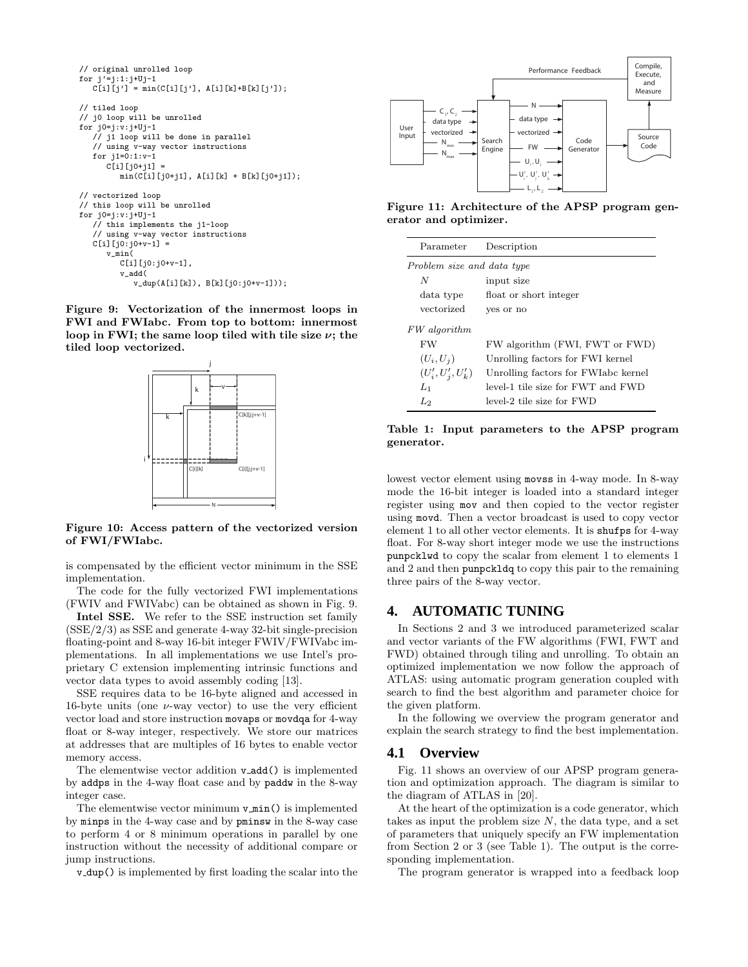```
// original unrolled loop
for j'=j:1:j+Uj-1
C[i][j'] = min(C[i][j'], A[i][k]+B[k][j']);
// tiled loop
// j0 loop will be unrolled
for j0=j:v:j+Uj-1
   // j1 loop will be done in parallel
   // using v-way vector instructions
   for j1=0:1:v-1
      C[i][i0+i1] =
         min(C[i][j0+j1], A[i][k] + B[k][j0+j1]);
// vectorized loop
// this loop will be unrolled
for j0=j:v:j+Uj-1
   // this implements the j1-loop
   // using v-way vector instructions
   C[i][j0:j0+v-1] =v_min(
         C[i][j0:j0+v-1],
         v_add(
            v_dup(A[i][k]), B[k][j0:j0+v-1]));
```
Figure 9: Vectorization of the innermost loops in FWI and FWIabc. From top to bottom: innermost loop in FWI; the same loop tiled with tile size  $\nu$ ; the tiled loop vectorized.



Figure 10: Access pattern of the vectorized version of FWI/FWIabc.

is compensated by the efficient vector minimum in the SSE implementation.

The code for the fully vectorized FWI implementations (FWIV and FWIVabc) can be obtained as shown in Fig. 9.

Intel SSE. We refer to the SSE instruction set family  $(SSE/2/3)$  as SSE and generate 4-way 32-bit single-precision floating-point and 8-way 16-bit integer FWIV/FWIVabc implementations. In all implementations we use Intel's proprietary C extension implementing intrinsic functions and vector data types to avoid assembly coding [13].

SSE requires data to be 16-byte aligned and accessed in 16-byte units (one  $\nu$ -way vector) to use the very efficient vector load and store instruction movaps or movdqa for 4-way float or 8-way integer, respectively. We store our matrices at addresses that are multiples of 16 bytes to enable vector memory access.

The elementwise vector addition v add() is implemented by addps in the 4-way float case and by paddw in the 8-way integer case.

The elementwise vector minimum  $v$  min() is implemented by minps in the 4-way case and by pminsw in the 8-way case to perform 4 or 8 minimum operations in parallel by one instruction without the necessity of additional compare or jump instructions.

v dup() is implemented by first loading the scalar into the



Figure 11: Architecture of the APSP program generator and optimizer.

| Parameter                  | Description                         |  |  |  |  |
|----------------------------|-------------------------------------|--|--|--|--|
| Problem size and data type |                                     |  |  |  |  |
| N                          | input size                          |  |  |  |  |
| data type                  | float or short integer              |  |  |  |  |
| vectorized                 | yes or no                           |  |  |  |  |
| FW algorithm               |                                     |  |  |  |  |
| <b>FW</b>                  | FW algorithm (FWI, FWT or FWD)      |  |  |  |  |
| $(U_i, U_i)$               | Unrolling factors for FWI kernel    |  |  |  |  |
| $(U'_{i}, U'_{i}, U'_{k})$ | Unrolling factors for FWIabc kernel |  |  |  |  |
| $L_1$                      | level-1 tile size for FWT and FWD   |  |  |  |  |
| L2                         | level-2 tile size for FWD           |  |  |  |  |

Table 1: Input parameters to the APSP program generator.

lowest vector element using movss in 4-way mode. In 8-way mode the 16-bit integer is loaded into a standard integer register using mov and then copied to the vector register using movd. Then a vector broadcast is used to copy vector element 1 to all other vector elements. It is shufps for 4-way float. For 8-way short integer mode we use the instructions punpcklwd to copy the scalar from element 1 to elements 1 and 2 and then punpckldq to copy this pair to the remaining three pairs of the 8-way vector.

## **4. AUTOMATIC TUNING**

In Sections 2 and 3 we introduced parameterized scalar and vector variants of the FW algorithms (FWI, FWT and FWD) obtained through tiling and unrolling. To obtain an optimized implementation we now follow the approach of ATLAS: using automatic program generation coupled with search to find the best algorithm and parameter choice for the given platform.

In the following we overview the program generator and explain the search strategy to find the best implementation.

#### **4.1 Overview**

Fig. 11 shows an overview of our APSP program generation and optimization approach. The diagram is similar to the diagram of ATLAS in [20].

At the heart of the optimization is a code generator, which takes as input the problem size  $N$ , the data type, and a set of parameters that uniquely specify an FW implementation from Section 2 or 3 (see Table 1). The output is the corresponding implementation.

The program generator is wrapped into a feedback loop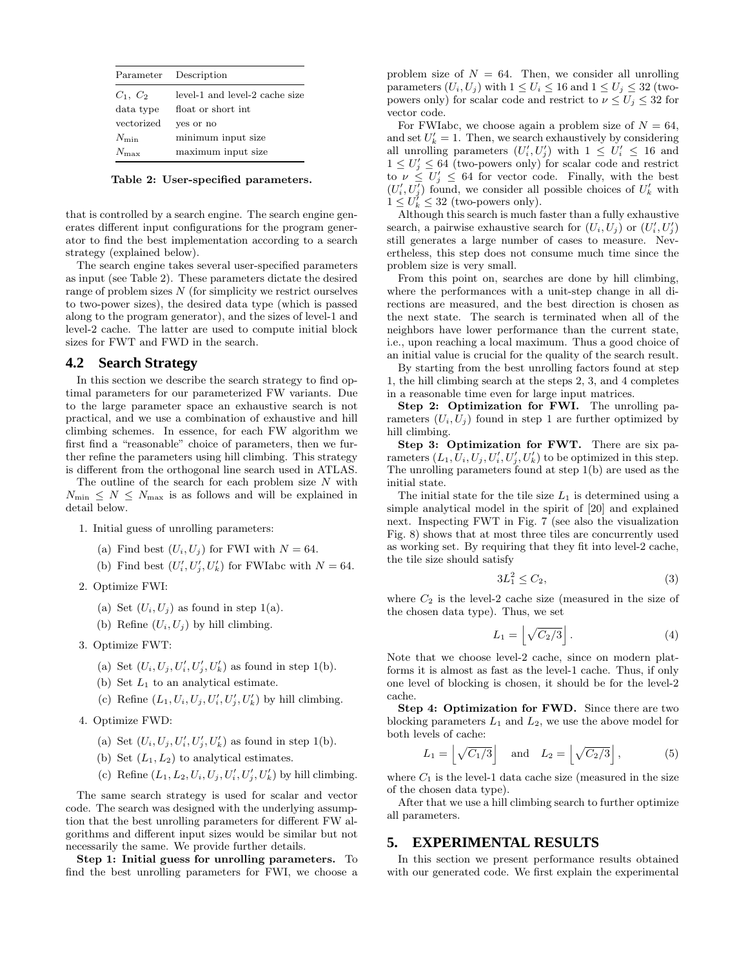|               | Parameter Description          |
|---------------|--------------------------------|
| $C_1, C_2$    | level-1 and level-2 cache size |
| data type     | float or short int.            |
| vectorized    | ves or no                      |
| $N_{\rm min}$ | minimum input size             |
| $N_{\rm max}$ | maximum input size             |

Table 2: User-specified parameters.

that is controlled by a search engine. The search engine generates different input configurations for the program generator to find the best implementation according to a search strategy (explained below).

The search engine takes several user-specified parameters as input (see Table 2). These parameters dictate the desired range of problem sizes  $N$  (for simplicity we restrict ourselves to two-power sizes), the desired data type (which is passed along to the program generator), and the sizes of level-1 and level-2 cache. The latter are used to compute initial block sizes for FWT and FWD in the search.

#### **4.2 Search Strategy**

In this section we describe the search strategy to find optimal parameters for our parameterized FW variants. Due to the large parameter space an exhaustive search is not practical, and we use a combination of exhaustive and hill climbing schemes. In essence, for each FW algorithm we first find a "reasonable" choice of parameters, then we further refine the parameters using hill climbing. This strategy is different from the orthogonal line search used in ATLAS.

The outline of the search for each problem size  $N$  with  $N_{\min} \leq N \leq N_{\max}$  is as follows and will be explained in detail below.

- 1. Initial guess of unrolling parameters:
	- (a) Find best  $(U_i, U_j)$  for FWI with  $N = 64$ .
	- (b) Find best  $(U'_i, U'_j, U'_k)$  for FWIabc with  $N = 64$ .
- 2. Optimize FWI:
	- (a) Set  $(U_i, U_j)$  as found in step 1(a).
	- (b) Refine  $(U_i, U_j)$  by hill climbing.
- 3. Optimize FWT:
	- (a) Set  $(U_i, U_j, U'_i, U'_j, U'_k)$  as found in step 1(b).
	- (b) Set  $L_1$  to an analytical estimate.
	- (c) Refine  $(L_1, U_i, U_j, U'_i, U'_j, U'_k)$  by hill climbing.
- 4. Optimize FWD:
	- (a) Set  $(U_i, U_j, U'_i, U'_j, U'_k)$  as found in step 1(b).
	- (b) Set  $(L_1, L_2)$  to analytical estimates.
	- (c) Refine  $(L_1, L_2, U_i, U_j, U'_i, U'_j, U'_k)$  by hill climbing.

The same search strategy is used for scalar and vector code. The search was designed with the underlying assumption that the best unrolling parameters for different FW algorithms and different input sizes would be similar but not necessarily the same. We provide further details.

Step 1: Initial guess for unrolling parameters. To find the best unrolling parameters for FWI, we choose a

problem size of  $N = 64$ . Then, we consider all unrolling parameters  $(U_i, U_j)$  with  $1 \leq U_i \leq 16$  and  $1 \leq U_j \leq 32$  (twopowers only) for scalar code and restrict to  $\nu \leq U_j \leq 32$  for vector code.

For FWIabc, we choose again a problem size of  $N = 64$ , and set  $U'_k = 1$ . Then, we search exhaustively by considering all unrolling parameters  $(U'_i, U'_j)$  with  $1 \leq U'_i \leq 16$  and  $1 \leq U'_j \leq 64$  (two-powers only) for scalar code and restrict to  $\nu \leq U'_j \leq 64$  for vector code. Finally, with the best  $(U'_i, U'_j)$  found, we consider all possible choices of  $U'_k$  with  $1 \leq U_k^{\gamma} \leq 32$  (two-powers only).

Although this search is much faster than a fully exhaustive search, a pairwise exhaustive search for  $(U_i, U_j)$  or  $(U'_i, U'_j)$ still generates a large number of cases to measure. Nevertheless, this step does not consume much time since the problem size is very small.

From this point on, searches are done by hill climbing, where the performances with a unit-step change in all directions are measured, and the best direction is chosen as the next state. The search is terminated when all of the neighbors have lower performance than the current state, i.e., upon reaching a local maximum. Thus a good choice of an initial value is crucial for the quality of the search result.

By starting from the best unrolling factors found at step 1, the hill climbing search at the steps 2, 3, and 4 completes in a reasonable time even for large input matrices.

Step 2: Optimization for FWI. The unrolling parameters  $(U_i, U_j)$  found in step 1 are further optimized by hill climbing.

Step 3: Optimization for FWT. There are six parameters  $(L_1, U_i, U_j, U_i', U_j', U_k')$  to be optimized in this step. The unrolling parameters found at step 1(b) are used as the initial state.

The initial state for the tile size  $L_1$  is determined using a simple analytical model in the spirit of [20] and explained next. Inspecting FWT in Fig. 7 (see also the visualization Fig. 8) shows that at most three tiles are concurrently used as working set. By requiring that they fit into level-2 cache, the tile size should satisfy

$$
3L_1^2 \le C_2,\tag{3}
$$

where  $C_2$  is the level-2 cache size (measured in the size of the chosen data type). Thus, we set

$$
L_1 = \left\lfloor \sqrt{C_2/3} \right\rfloor. \tag{4}
$$

Note that we choose level-2 cache, since on modern platforms it is almost as fast as the level-1 cache. Thus, if only one level of blocking is chosen, it should be for the level-2 cache.

Step 4: Optimization for FWD. Since there are two blocking parameters  $L_1$  and  $L_2$ , we use the above model for both levels of cache:

$$
L_1 = \left\lfloor \sqrt{C_1/3} \right\rfloor \quad \text{and} \quad L_2 = \left\lfloor \sqrt{C_2/3} \right\rfloor, \tag{5}
$$

where  $C_1$  is the level-1 data cache size (measured in the size of the chosen data type).

After that we use a hill climbing search to further optimize all parameters.

## **5. EXPERIMENTAL RESULTS**

In this section we present performance results obtained with our generated code. We first explain the experimental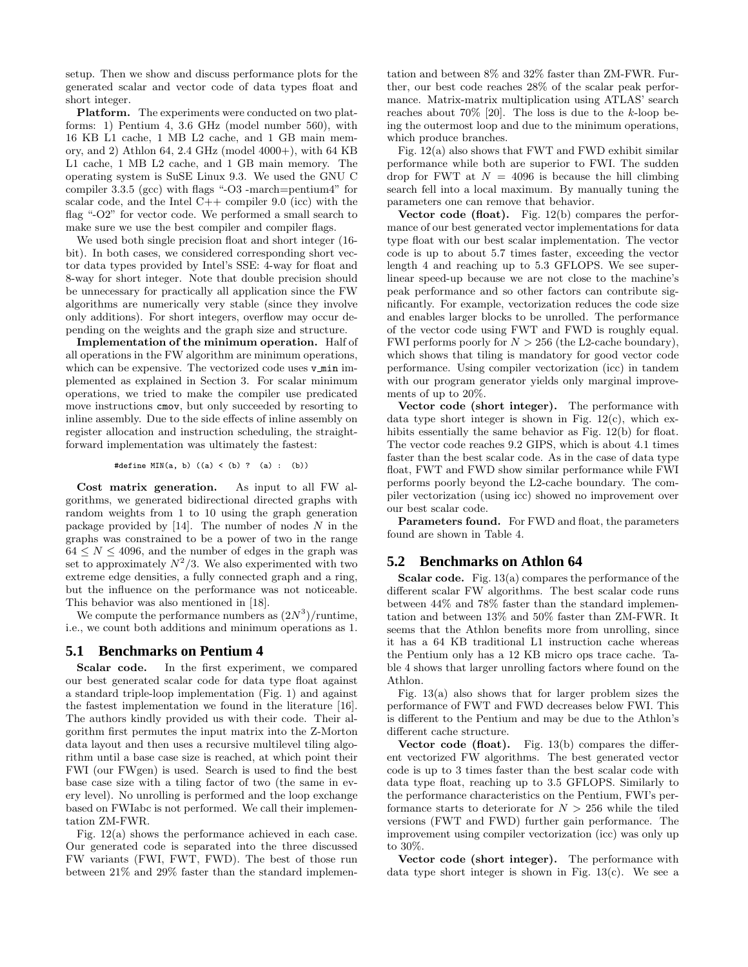setup. Then we show and discuss performance plots for the generated scalar and vector code of data types float and short integer.

Platform. The experiments were conducted on two platforms: 1) Pentium 4, 3.6 GHz (model number 560), with 16 KB L1 cache, 1 MB L2 cache, and 1 GB main memory, and 2) Athlon 64, 2.4 GHz (model 4000+), with 64 KB L1 cache, 1 MB L2 cache, and 1 GB main memory. The operating system is SuSE Linux 9.3. We used the GNU C compiler 3.3.5 (gcc) with flags "-O3 -march=pentium4" for scalar code, and the Intel  $C++$  compiler 9.0 (icc) with the flag "-O2" for vector code. We performed a small search to make sure we use the best compiler and compiler flags.

We used both single precision float and short integer (16 bit). In both cases, we considered corresponding short vector data types provided by Intel's SSE: 4-way for float and 8-way for short integer. Note that double precision should be unnecessary for practically all application since the FW algorithms are numerically very stable (since they involve only additions). For short integers, overflow may occur depending on the weights and the graph size and structure.

Implementation of the minimum operation. Half of all operations in the FW algorithm are minimum operations, which can be expensive. The vectorized code uses  $v$  min implemented as explained in Section 3. For scalar minimum operations, we tried to make the compiler use predicated move instructions cmov, but only succeeded by resorting to inline assembly. Due to the side effects of inline assembly on register allocation and instruction scheduling, the straightforward implementation was ultimately the fastest:

#define MIN(a, b)  $((a) < (b)$  ?  $(a)$  :  $(b))$ 

Cost matrix generation. As input to all FW algorithms, we generated bidirectional directed graphs with random weights from 1 to 10 using the graph generation package provided by  $[14]$ . The number of nodes N in the graphs was constrained to be a power of two in the range  $64 \leq N \leq 4096$ , and the number of edges in the graph was set to approximately  $N^2/3$ . We also experimented with two extreme edge densities, a fully connected graph and a ring, but the influence on the performance was not noticeable. This behavior was also mentioned in [18].

We compute the performance numbers as  $(2N^3)/\text{runtime}$ , i.e., we count both additions and minimum operations as 1.

# **5.1 Benchmarks on Pentium 4**

Scalar code. In the first experiment, we compared our best generated scalar code for data type float against a standard triple-loop implementation (Fig. 1) and against the fastest implementation we found in the literature [16]. The authors kindly provided us with their code. Their algorithm first permutes the input matrix into the Z-Morton data layout and then uses a recursive multilevel tiling algorithm until a base case size is reached, at which point their FWI (our FWgen) is used. Search is used to find the best base case size with a tiling factor of two (the same in every level). No unrolling is performed and the loop exchange based on FWIabc is not performed. We call their implementation ZM-FWR.

Fig. 12(a) shows the performance achieved in each case. Our generated code is separated into the three discussed FW variants (FWI, FWT, FWD). The best of those run between 21% and 29% faster than the standard implementation and between 8% and 32% faster than ZM-FWR. Further, our best code reaches 28% of the scalar peak performance. Matrix-matrix multiplication using ATLAS' search reaches about  $70\%$  [20]. The loss is due to the k-loop being the outermost loop and due to the minimum operations, which produce branches.

Fig. 12(a) also shows that FWT and FWD exhibit similar performance while both are superior to FWI. The sudden drop for FWT at  $N = 4096$  is because the hill climbing search fell into a local maximum. By manually tuning the parameters one can remove that behavior.

Vector code (float). Fig.  $12(b)$  compares the performance of our best generated vector implementations for data type float with our best scalar implementation. The vector code is up to about 5.7 times faster, exceeding the vector length 4 and reaching up to 5.3 GFLOPS. We see superlinear speed-up because we are not close to the machine's peak performance and so other factors can contribute significantly. For example, vectorization reduces the code size and enables larger blocks to be unrolled. The performance of the vector code using FWT and FWD is roughly equal. FWI performs poorly for  $N > 256$  (the L2-cache boundary), which shows that tiling is mandatory for good vector code performance. Using compiler vectorization (icc) in tandem with our program generator yields only marginal improvements of up to 20%.

Vector code (short integer). The performance with data type short integer is shown in Fig.  $12(c)$ , which exhibits essentially the same behavior as Fig. 12(b) for float. The vector code reaches 9.2 GIPS, which is about 4.1 times faster than the best scalar code. As in the case of data type float, FWT and FWD show similar performance while FWI performs poorly beyond the L2-cache boundary. The compiler vectorization (using icc) showed no improvement over our best scalar code.

Parameters found. For FWD and float, the parameters found are shown in Table 4.

#### **5.2 Benchmarks on Athlon 64**

Scalar code. Fig. 13(a) compares the performance of the different scalar FW algorithms. The best scalar code runs between 44% and 78% faster than the standard implementation and between 13% and 50% faster than ZM-FWR. It seems that the Athlon benefits more from unrolling, since it has a 64 KB traditional L1 instruction cache whereas the Pentium only has a 12 KB micro ops trace cache. Table 4 shows that larger unrolling factors where found on the Athlon.

Fig. 13(a) also shows that for larger problem sizes the performance of FWT and FWD decreases below FWI. This is different to the Pentium and may be due to the Athlon's different cache structure.

Vector code (float). Fig. 13(b) compares the different vectorized FW algorithms. The best generated vector code is up to 3 times faster than the best scalar code with data type float, reaching up to 3.5 GFLOPS. Similarly to the performance characteristics on the Pentium, FWI's performance starts to deteriorate for  $N > 256$  while the tiled versions (FWT and FWD) further gain performance. The improvement using compiler vectorization (icc) was only up to 30%.

Vector code (short integer). The performance with data type short integer is shown in Fig.  $13(c)$ . We see a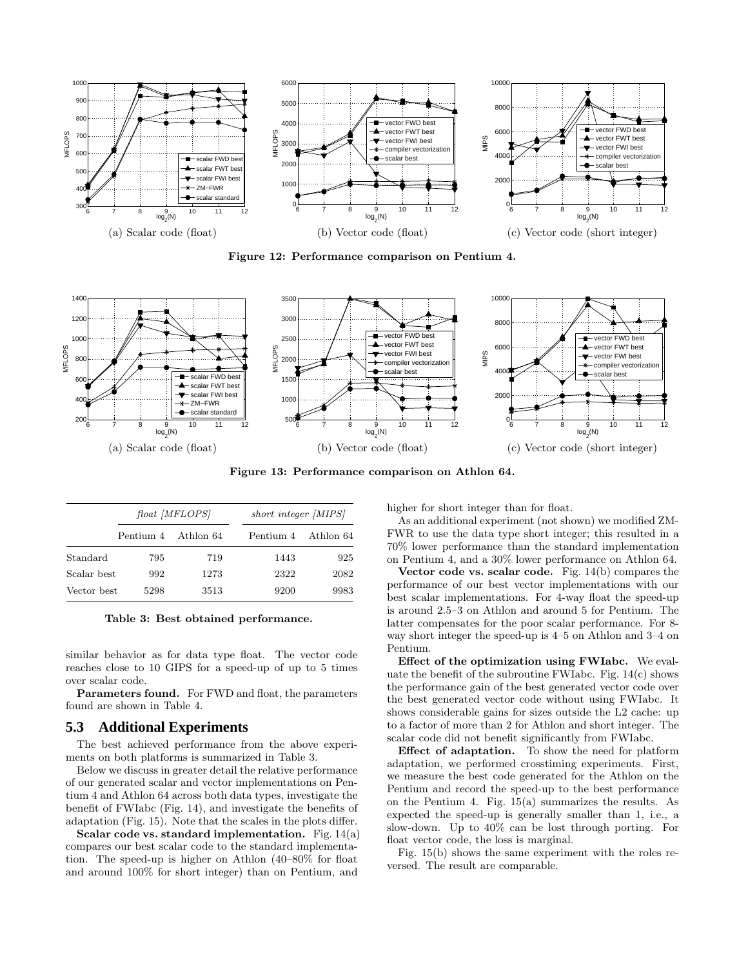

Figure 12: Performance comparison on Pentium 4.



Figure 13: Performance comparison on Athlon 64.

|             |           | float [MFLOPS] |      | short integer [MIPS] |  |  |  |
|-------------|-----------|----------------|------|----------------------|--|--|--|
|             | Pentium 4 | Athlon 64      |      | Pentium 4 Athlon 64  |  |  |  |
| Standard    | 795       | 719            | 1443 | 925                  |  |  |  |
| Scalar best | 992       | 1273           | 2322 | 2082                 |  |  |  |
| Vector best | 5298      | 3513           | 9200 | 9983                 |  |  |  |

Table 3: Best obtained performance.

similar behavior as for data type float. The vector code reaches close to 10 GIPS for a speed-up of up to 5 times over scalar code.

Parameters found. For FWD and float, the parameters found are shown in Table 4.

#### **5.3 Additional Experiments**

The best achieved performance from the above experiments on both platforms is summarized in Table 3.

Below we discuss in greater detail the relative performance of our generated scalar and vector implementations on Pentium 4 and Athlon 64 across both data types, investigate the benefit of FWIabc (Fig. 14), and investigate the benefits of adaptation (Fig. 15). Note that the scales in the plots differ.

Scalar code vs. standard implementation. Fig.  $14(a)$ compares our best scalar code to the standard implementation. The speed-up is higher on Athlon (40–80% for float and around 100% for short integer) than on Pentium, and

higher for short integer than for float.

As an additional experiment (not shown) we modified ZM-FWR to use the data type short integer; this resulted in a 70% lower performance than the standard implementation on Pentium 4, and a 30% lower performance on Athlon 64.

Vector code vs. scalar code. Fig.  $14(b)$  compares the performance of our best vector implementations with our best scalar implementations. For 4-way float the speed-up is around 2.5–3 on Athlon and around 5 for Pentium. The latter compensates for the poor scalar performance. For 8 way short integer the speed-up is 4–5 on Athlon and 3–4 on Pentium.

Effect of the optimization using FWIabc. We evaluate the benefit of the subroutine FWIabc. Fig.  $14(c)$  shows the performance gain of the best generated vector code over the best generated vector code without using FWIabc. It shows considerable gains for sizes outside the L2 cache: up to a factor of more than 2 for Athlon and short integer. The scalar code did not benefit significantly from FWIabc.

Effect of adaptation. To show the need for platform adaptation, we performed crosstiming experiments. First, we measure the best code generated for the Athlon on the Pentium and record the speed-up to the best performance on the Pentium 4. Fig. 15(a) summarizes the results. As expected the speed-up is generally smaller than 1, i.e., a slow-down. Up to 40% can be lost through porting. For float vector code, the loss is marginal.

Fig. 15(b) shows the same experiment with the roles reversed. The result are comparable.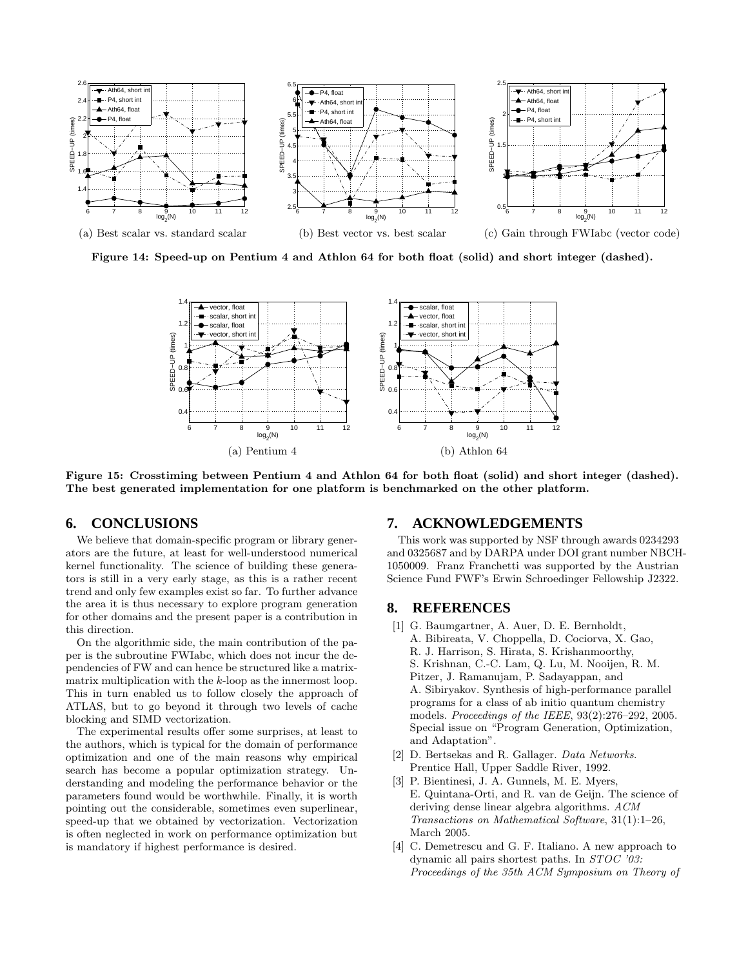

Figure 14: Speed-up on Pentium 4 and Athlon 64 for both float (solid) and short integer (dashed).



Figure 15: Crosstiming between Pentium 4 and Athlon 64 for both float (solid) and short integer (dashed). The best generated implementation for one platform is benchmarked on the other platform.

# **6. CONCLUSIONS**

We believe that domain-specific program or library generators are the future, at least for well-understood numerical kernel functionality. The science of building these generators is still in a very early stage, as this is a rather recent trend and only few examples exist so far. To further advance the area it is thus necessary to explore program generation for other domains and the present paper is a contribution in this direction.

On the algorithmic side, the main contribution of the paper is the subroutine FWIabc, which does not incur the dependencies of FW and can hence be structured like a matrixmatrix multiplication with the k-loop as the innermost loop. This in turn enabled us to follow closely the approach of ATLAS, but to go beyond it through two levels of cache blocking and SIMD vectorization.

The experimental results offer some surprises, at least to the authors, which is typical for the domain of performance optimization and one of the main reasons why empirical search has become a popular optimization strategy. Understanding and modeling the performance behavior or the parameters found would be worthwhile. Finally, it is worth pointing out the considerable, sometimes even superlinear, speed-up that we obtained by vectorization. Vectorization is often neglected in work on performance optimization but is mandatory if highest performance is desired.

# **7. ACKNOWLEDGEMENTS**

This work was supported by NSF through awards 0234293 and 0325687 and by DARPA under DOI grant number NBCH-1050009. Franz Franchetti was supported by the Austrian Science Fund FWF's Erwin Schroedinger Fellowship J2322.

## **8. REFERENCES**

- [1] G. Baumgartner, A. Auer, D. E. Bernholdt, A. Bibireata, V. Choppella, D. Cociorva, X. Gao, R. J. Harrison, S. Hirata, S. Krishanmoorthy, S. Krishnan, C.-C. Lam, Q. Lu, M. Nooijen, R. M. Pitzer, J. Ramanujam, P. Sadayappan, and A. Sibiryakov. Synthesis of high-performance parallel programs for a class of ab initio quantum chemistry models. Proceedings of the IEEE, 93(2):276–292, 2005. Special issue on "Program Generation, Optimization, and Adaptation".
- [2] D. Bertsekas and R. Gallager. Data Networks. Prentice Hall, Upper Saddle River, 1992.
- [3] P. Bientinesi, J. A. Gunnels, M. E. Myers, E. Quintana-Orti, and R. van de Geijn. The science of deriving dense linear algebra algorithms. ACM Transactions on Mathematical Software, 31(1):1–26, March 2005.
- [4] C. Demetrescu and G. F. Italiano. A new approach to dynamic all pairs shortest paths. In STOC '03: Proceedings of the 35th ACM Symposium on Theory of